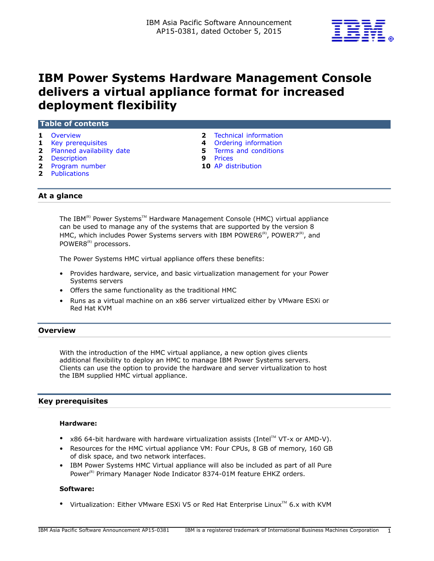

# **IBM Power Systems Hardware Management Console delivers a virtual appliance format for increased deployment flexibility**

## **Table of contents**

- 
- 
- **2** [Planned availability date](#page-1-1) **5** [Terms and conditions](#page-4-0)
- **2** [Description](#page-1-2) **9** [Prices](#page-8-0)
- **2** [Program number](#page-1-3) **10** [AP distribution](#page-9-0)
- **2** [Publications](#page-1-4)
- **1** [Overview](#page-0-0) **2** [Technical information](#page-1-0)
- **1** [Key prerequisites](#page-0-1) **4** [Ordering information](#page-3-0)
	-
	-
	-

# **At a glance**

The IBM<sup>®</sup> Power Systems™ Hardware Management Console (HMC) virtual appliance can be used to manage any of the systems that are supported by the version 8 HMC, which includes Power Systems servers with IBM POWER6 $\text{R}^{\text{(R)}}$ , POWER $7\text{R}^{\text{(R)}}$ , and POWER8<sup>(R)</sup> processors.

The Power Systems HMC virtual appliance offers these benefits:

- Provides hardware, service, and basic virtualization management for your Power Systems servers
- Offers the same functionality as the traditional HMC
- Runs as a virtual machine on an x86 server virtualized either by VMware ESXi or Red Hat KVM

## <span id="page-0-0"></span>**Overview**

With the introduction of the HMC virtual appliance, a new option gives clients additional flexibility to deploy an HMC to manage IBM Power Systems servers. Clients can use the option to provide the hardware and server virtualization to host the IBM supplied HMC virtual appliance.

## <span id="page-0-1"></span>**Key prerequisites**

## **Hardware:**

- $\times$ 86 64-bit hardware with hardware virtualization assists (Intel<sup>TM</sup> VT-x or AMD-V).
- Resources for the HMC virtual appliance VM: Four CPUs, 8 GB of memory, 160 GB of disk space, and two network interfaces.
- IBM Power Systems HMC Virtual appliance will also be included as part of all Pure Power<sup>(R)</sup> Primary Manager Node Indicator 8374-01M feature EHKZ orders.

## **Software:**

• Virtualization: Either VMware ESXi V5 or Red Hat Enterprise Linux<sup>TM</sup> 6.x with KVM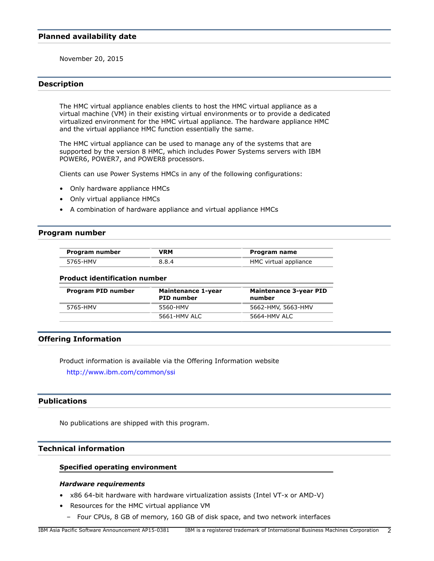## <span id="page-1-1"></span>**Planned availability date**

November 20, 2015

## <span id="page-1-2"></span>**Description**

The HMC virtual appliance enables clients to host the HMC virtual appliance as a virtual machine (VM) in their existing virtual environments or to provide a dedicated virtualized environment for the HMC virtual appliance. The hardware appliance HMC and the virtual appliance HMC function essentially the same.

The HMC virtual appliance can be used to manage any of the systems that are supported by the version 8 HMC, which includes Power Systems servers with IBM POWER6, POWER7, and POWER8 processors.

Clients can use Power Systems HMCs in any of the following configurations:

- Only hardware appliance HMCs
- Only virtual appliance HMCs
- A combination of hardware appliance and virtual appliance HMCs

## <span id="page-1-3"></span>**Program number**

| Program number | VRM   | Program name          |
|----------------|-------|-----------------------|
| 5765-HMV       | 8.8.4 | HMC virtual appliance |

#### **Product identification number**

| Program PID number | <b>Maintenance 1-year</b><br><b>PID number</b> | <b>Maintenance 3-year PID</b><br>number |
|--------------------|------------------------------------------------|-----------------------------------------|
| 5765-HMV           | 5560-HMV                                       | 5662-HMV, 5663-HMV                      |
|                    | 5661-HMV ALC                                   | 5664-HMV ALC                            |

## **Offering Information**

Product information is available via the Offering Information website

<http://www.ibm.com/common/ssi>

# <span id="page-1-4"></span>**Publications**

No publications are shipped with this program.

# <span id="page-1-0"></span>**Technical information**

## **Specified operating environment**

#### *Hardware requirements*

- x86 64-bit hardware with hardware virtualization assists (Intel VT-x or AMD-V)
- Resources for the HMC virtual appliance VM
- Four CPUs, 8 GB of memory, 160 GB of disk space, and two network interfaces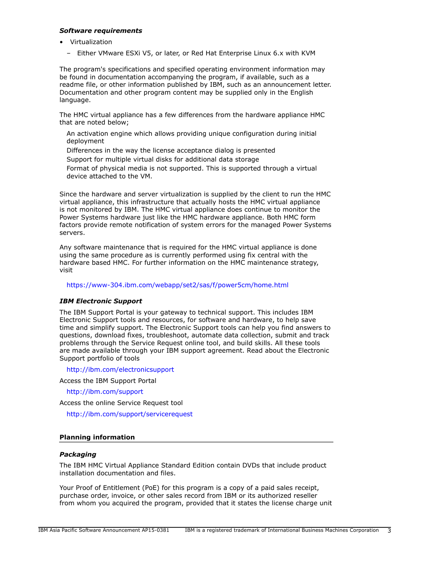## *Software requirements*

- Virtualization
	- Either VMware ESXi V5, or later, or Red Hat Enterprise Linux 6.x with KVM

The program's specifications and specified operating environment information may be found in documentation accompanying the program, if available, such as a readme file, or other information published by IBM, such as an announcement letter. Documentation and other program content may be supplied only in the English language.

The HMC virtual appliance has a few differences from the hardware appliance HMC that are noted below;

An activation engine which allows providing unique configuration during initial deployment

Differences in the way the license acceptance dialog is presented

Support for multiple virtual disks for additional data storage

Format of physical media is not supported. This is supported through a virtual device attached to the VM.

Since the hardware and server virtualization is supplied by the client to run the HMC virtual appliance, this infrastructure that actually hosts the HMC virtual appliance is not monitored by IBM. The HMC virtual appliance does continue to monitor the Power Systems hardware just like the HMC hardware appliance. Both HMC form factors provide remote notification of system errors for the managed Power Systems servers.

Any software maintenance that is required for the HMC virtual appliance is done using the same procedure as is currently performed using fix central with the hardware based HMC. For further information on the HMC maintenance strategy, visit

## <https://www-304.ibm.com/webapp/set2/sas/f/power5cm/home.html>

## *IBM Electronic Support*

The IBM Support Portal is your gateway to technical support. This includes IBM Electronic Support tools and resources, for software and hardware, to help save time and simplify support. The Electronic Support tools can help you find answers to questions, download fixes, troubleshoot, automate data collection, submit and track problems through the Service Request online tool, and build skills. All these tools are made available through your IBM support agreement. Read about the Electronic Support portfolio of tools

<http://ibm.com/electronicsupport>

Access the IBM Support Portal

<http://ibm.com/support>

Access the online Service Request tool

<http://ibm.com/support/servicerequest>

## **Planning information**

## *Packaging*

The IBM HMC Virtual Appliance Standard Edition contain DVDs that include product installation documentation and files.

Your Proof of Entitlement (PoE) for this program is a copy of a paid sales receipt, purchase order, invoice, or other sales record from IBM or its authorized reseller from whom you acquired the program, provided that it states the license charge unit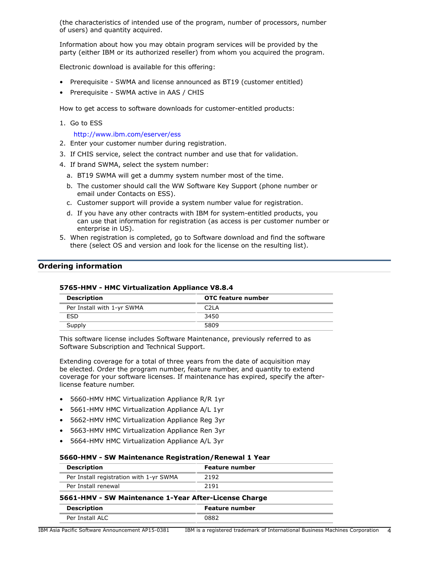(the characteristics of intended use of the program, number of processors, number of users) and quantity acquired.

Information about how you may obtain program services will be provided by the party (either IBM or its authorized reseller) from whom you acquired the program.

Electronic download is available for this offering:

- Prerequisite SWMA and license announced as BT19 (customer entitled)
- Prerequisite SWMA active in AAS / CHIS

How to get access to software downloads for customer-entitled products:

1. Go to ESS

<http://www.ibm.com/eserver/ess>

- 2. Enter your customer number during registration.
- 3. If CHIS service, select the contract number and use that for validation.
- 4. If brand SWMA, select the system number:
	- a. BT19 SWMA will get a dummy system number most of the time.
	- b. The customer should call the WW Software Key Support (phone number or email under Contacts on ESS).
	- c. Customer support will provide a system number value for registration.
	- d. If you have any other contracts with IBM for system-entitled products, you can use that information for registration (as access is per customer number or enterprise in US).
- 5. When registration is completed, go to Software download and find the software there (select OS and version and look for the license on the resulting list).

## <span id="page-3-0"></span>**Ordering information**

| <b>Description</b>         | OTC feature number |
|----------------------------|--------------------|
| Per Install with 1-yr SWMA | C <sub>2</sub> LA  |
| <b>FSD</b>                 | 3450               |
| Supply                     | 5809               |
|                            |                    |

# **5765-HMV - HMC Virtualization Appliance V8.8.4**

This software license includes Software Maintenance, previously referred to as Software Subscription and Technical Support.

Extending coverage for a total of three years from the date of acquisition may be elected. Order the program number, feature number, and quantity to extend coverage for your software licenses. If maintenance has expired, specify the afterlicense feature number.

- 5660-HMV HMC Virtualization Appliance R/R 1yr
- 5661-HMV HMC Virtualization Appliance A/L 1yr
- 5662-HMV HMC Virtualization Appliance Reg 3yr
- 5663-HMV HMC Virtualization Appliance Ren 3yr
- 5664-HMV HMC Virtualization Appliance A/L 3yr

#### **5660-HMV - SW Maintenance Registration/Renewal 1 Year**

| Feature number                                        |  |
|-------------------------------------------------------|--|
| 2192                                                  |  |
| 2191                                                  |  |
| 5661-HMV - SW Maintenance 1-Year After-License Charge |  |
| <b>Feature number</b>                                 |  |
| 0882                                                  |  |
|                                                       |  |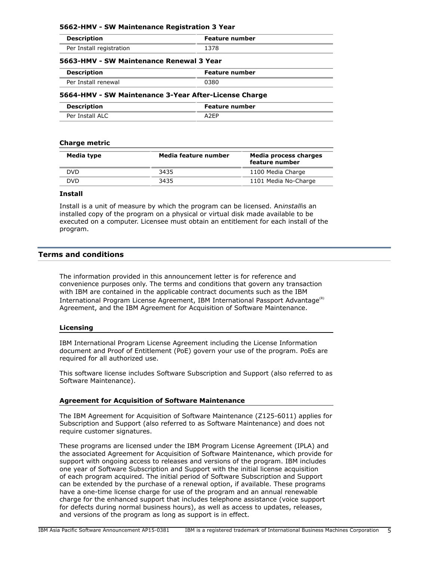| 5662-HMV - SW Maintenance Registration 3 Year |                |  |
|-----------------------------------------------|----------------|--|
| <b>Description</b>                            | Feature number |  |
| Per Install registration                      | 1378           |  |
| 5663-HMV - SW Maintenance Renewal 3 Year      |                |  |
| <b>Description</b>                            | Feature number |  |
| Per Install renewal                           | 0380           |  |
|                                               |                |  |

## **5664-HMV - SW Maintenance 3-Year After-License Charge**

| <b>Description</b> | Feature number |
|--------------------|----------------|
| Per Install ALC    |                |

## **Charge metric**

| Media type | Media feature number | Media process charges<br>feature number |
|------------|----------------------|-----------------------------------------|
| DVD.       | 3435                 | 1100 Media Charge                       |
| DVD        | 3435                 | 1101 Media No-Charge                    |

## **Install**

Install is a unit of measure by which the program can be licensed. An*install*is an installed copy of the program on a physical or virtual disk made available to be executed on a computer. Licensee must obtain an entitlement for each install of the program.

## <span id="page-4-0"></span>**Terms and conditions**

The information provided in this announcement letter is for reference and convenience purposes only. The terms and conditions that govern any transaction with IBM are contained in the applicable contract documents such as the IBM International Program License Agreement, IBM International Passport Advantage<sup>(R)</sup> Agreement, and the IBM Agreement for Acquisition of Software Maintenance.

## **Licensing**

IBM International Program License Agreement including the License Information document and Proof of Entitlement (PoE) govern your use of the program. PoEs are required for all authorized use.

This software license includes Software Subscription and Support (also referred to as Software Maintenance).

## **Agreement for Acquisition of Software Maintenance**

The IBM Agreement for Acquisition of Software Maintenance (Z125-6011) applies for Subscription and Support (also referred to as Software Maintenance) and does not require customer signatures.

These programs are licensed under the IBM Program License Agreement (IPLA) and the associated Agreement for Acquisition of Software Maintenance, which provide for support with ongoing access to releases and versions of the program. IBM includes one year of Software Subscription and Support with the initial license acquisition of each program acquired. The initial period of Software Subscription and Support can be extended by the purchase of a renewal option, if available. These programs have a one-time license charge for use of the program and an annual renewable charge for the enhanced support that includes telephone assistance (voice support for defects during normal business hours), as well as access to updates, releases, and versions of the program as long as support is in effect.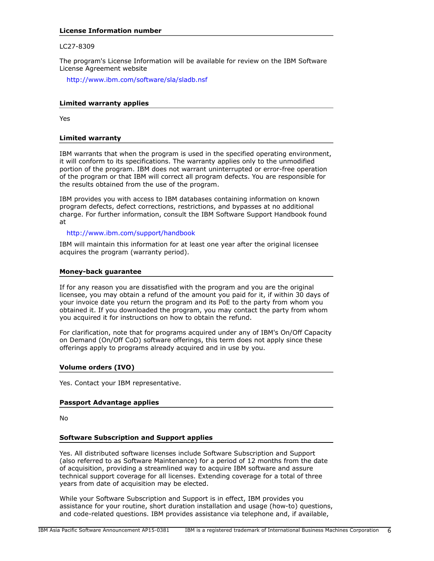## **License Information number**

## LC27-8309

The program's License Information will be available for review on the IBM Software License Agreement website

<http://www.ibm.com/software/sla/sladb.nsf>

## **Limited warranty applies**

Yes

## **Limited warranty**

IBM warrants that when the program is used in the specified operating environment, it will conform to its specifications. The warranty applies only to the unmodified portion of the program. IBM does not warrant uninterrupted or error-free operation of the program or that IBM will correct all program defects. You are responsible for the results obtained from the use of the program.

IBM provides you with access to IBM databases containing information on known program defects, defect corrections, restrictions, and bypasses at no additional charge. For further information, consult the IBM Software Support Handbook found at

<http://www.ibm.com/support/handbook>

IBM will maintain this information for at least one year after the original licensee acquires the program (warranty period).

#### **Money-back guarantee**

If for any reason you are dissatisfied with the program and you are the original licensee, you may obtain a refund of the amount you paid for it, if within 30 days of your invoice date you return the program and its PoE to the party from whom you obtained it. If you downloaded the program, you may contact the party from whom you acquired it for instructions on how to obtain the refund.

For clarification, note that for programs acquired under any of IBM's On/Off Capacity on Demand (On/Off CoD) software offerings, this term does not apply since these offerings apply to programs already acquired and in use by you.

## **Volume orders (IVO)**

Yes. Contact your IBM representative.

## **Passport Advantage applies**

No

## **Software Subscription and Support applies**

Yes. All distributed software licenses include Software Subscription and Support (also referred to as Software Maintenance) for a period of 12 months from the date of acquisition, providing a streamlined way to acquire IBM software and assure technical support coverage for all licenses. Extending coverage for a total of three years from date of acquisition may be elected.

While your Software Subscription and Support is in effect, IBM provides you assistance for your routine, short duration installation and usage (how-to) questions, and code-related questions. IBM provides assistance via telephone and, if available,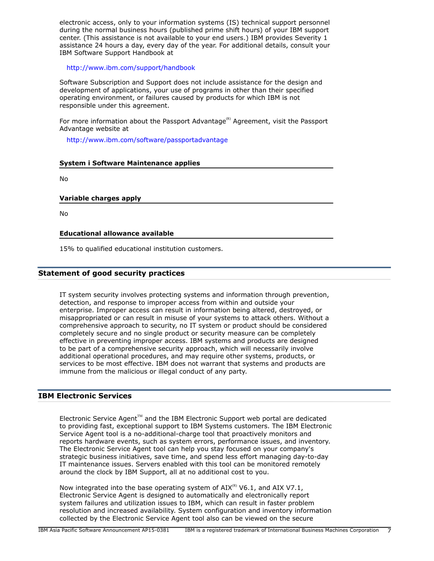electronic access, only to your information systems (IS) technical support personnel during the normal business hours (published prime shift hours) of your IBM support center. (This assistance is not available to your end users.) IBM provides Severity 1 assistance 24 hours a day, every day of the year. For additional details, consult your IBM Software Support Handbook at

<http://www.ibm.com/support/handbook>

Software Subscription and Support does not include assistance for the design and development of applications, your use of programs in other than their specified operating environment, or failures caused by products for which IBM is not responsible under this agreement.

For more information about the Passport Advantage<sup>(R)</sup> Agreement, visit the Passport Advantage website at

<http://www.ibm.com/software/passportadvantage>

## **System i Software Maintenance applies**

No

## **Variable charges apply**

No

## **Educational allowance available**

15% to qualified educational institution customers.

## **Statement of good security practices**

IT system security involves protecting systems and information through prevention, detection, and response to improper access from within and outside your enterprise. Improper access can result in information being altered, destroyed, or misappropriated or can result in misuse of your systems to attack others. Without a comprehensive approach to security, no IT system or product should be considered completely secure and no single product or security measure can be completely effective in preventing improper access. IBM systems and products are designed to be part of a comprehensive security approach, which will necessarily involve additional operational procedures, and may require other systems, products, or services to be most effective. IBM does not warrant that systems and products are immune from the malicious or illegal conduct of any party.

## **IBM Electronic Services**

Electronic Service Agent $T<sup>M</sup>$  and the IBM Electronic Support web portal are dedicated to providing fast, exceptional support to IBM Systems customers. The IBM Electronic Service Agent tool is a no-additional-charge tool that proactively monitors and reports hardware events, such as system errors, performance issues, and inventory. The Electronic Service Agent tool can help you stay focused on your company's strategic business initiatives, save time, and spend less effort managing day-to-day IT maintenance issues. Servers enabled with this tool can be monitored remotely around the clock by IBM Support, all at no additional cost to you.

Now integrated into the base operating system of  $AIX^{(R)}$  V6.1, and AIX V7.1, Electronic Service Agent is designed to automatically and electronically report system failures and utilization issues to IBM, which can result in faster problem resolution and increased availability. System configuration and inventory information collected by the Electronic Service Agent tool also can be viewed on the secure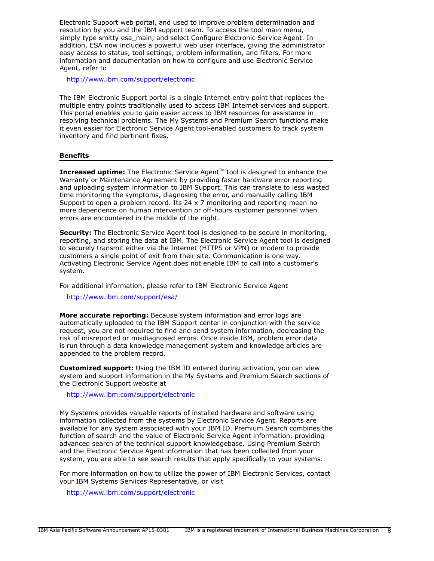Electronic Support web portal, and used to improve problem determination and resolution by you and the IBM support team. To access the tool main menu, simply type smitty esa\_main, and select Configure Electronic Service Agent. In addition, ESA now includes a powerful web user interface, giving the administrator easy access to status, tool settings, problem information, and filters. For more information and documentation on how to configure and use Electronic Service Agent, refer to

<http://www.ibm.com/support/electronic>

The IBM Electronic Support portal is a single Internet entry point that replaces the multiple entry points traditionally used to access IBM Internet services and support. This portal enables you to gain easier access to IBM resources for assistance in resolving technical problems. The My Systems and Premium Search functions make it even easier for Electronic Service Agent tool-enabled customers to track system inventory and find pertinent fixes.

## **Benefits**

**Increased uptime:** The Electronic Service Agent<sup>™</sup> tool is designed to enhance the Warranty or Maintenance Agreement by providing faster hardware error reporting and uploading system information to IBM Support. This can translate to less wasted time monitoring the symptoms, diagnosing the error, and manually calling IBM Support to open a problem record. Its 24 x 7 monitoring and reporting mean no more dependence on human intervention or off-hours customer personnel when errors are encountered in the middle of the night.

**Security:** The Electronic Service Agent tool is designed to be secure in monitoring, reporting, and storing the data at IBM. The Electronic Service Agent tool is designed to securely transmit either via the Internet (HTTPS or VPN) or modem to provide customers a single point of exit from their site. Communication is one way. Activating Electronic Service Agent does not enable IBM to call into a customer's system.

For additional information, please refer to IBM Electronic Service Agent

<http://www.ibm.com/support/esa/>

**More accurate reporting:** Because system information and error logs are automatically uploaded to the IBM Support center in conjunction with the service request, you are not required to find and send system information, decreasing the risk of misreported or misdiagnosed errors. Once inside IBM, problem error data is run through a data knowledge management system and knowledge articles are appended to the problem record.

**Customized support:** Using the IBM ID entered during activation, you can view system and support information in the My Systems and Premium Search sections of the Electronic Support website at

<http://www.ibm.com/support/electronic>

My Systems provides valuable reports of installed hardware and software using information collected from the systems by Electronic Service Agent. Reports are available for any system associated with your IBM ID. Premium Search combines the function of search and the value of Electronic Service Agent information, providing advanced search of the technical support knowledgebase. Using Premium Search and the Electronic Service Agent information that has been collected from your system, you are able to see search results that apply specifically to your systems.

For more information on how to utilize the power of IBM Electronic Services, contact your IBM Systems Services Representative, or visit

<http://www.ibm.com/support/electronic>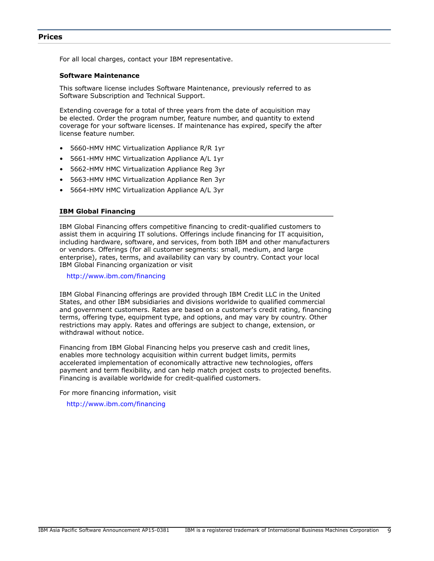<span id="page-8-0"></span>For all local charges, contact your IBM representative.

## **Software Maintenance**

This software license includes Software Maintenance, previously referred to as Software Subscription and Technical Support.

Extending coverage for a total of three years from the date of acquisition may be elected. Order the program number, feature number, and quantity to extend coverage for your software licenses. If maintenance has expired, specify the after license feature number.

- 5660-HMV HMC Virtualization Appliance R/R 1yr
- 5661-HMV HMC Virtualization Appliance A/L 1yr
- 5662-HMV HMC Virtualization Appliance Reg 3yr
- 5663-HMV HMC Virtualization Appliance Ren 3yr
- 5664-HMV HMC Virtualization Appliance A/L 3yr

## **IBM Global Financing**

IBM Global Financing offers competitive financing to credit-qualified customers to assist them in acquiring IT solutions. Offerings include financing for IT acquisition, including hardware, software, and services, from both IBM and other manufacturers or vendors. Offerings (for all customer segments: small, medium, and large enterprise), rates, terms, and availability can vary by country. Contact your local IBM Global Financing organization or visit

<http://www.ibm.com/financing>

IBM Global Financing offerings are provided through IBM Credit LLC in the United States, and other IBM subsidiaries and divisions worldwide to qualified commercial and government customers. Rates are based on a customer's credit rating, financing terms, offering type, equipment type, and options, and may vary by country. Other restrictions may apply. Rates and offerings are subject to change, extension, or withdrawal without notice.

Financing from IBM Global Financing helps you preserve cash and credit lines, enables more technology acquisition within current budget limits, permits accelerated implementation of economically attractive new technologies, offers payment and term flexibility, and can help match project costs to projected benefits. Financing is available worldwide for credit-qualified customers.

For more financing information, visit

<http://www.ibm.com/financing>